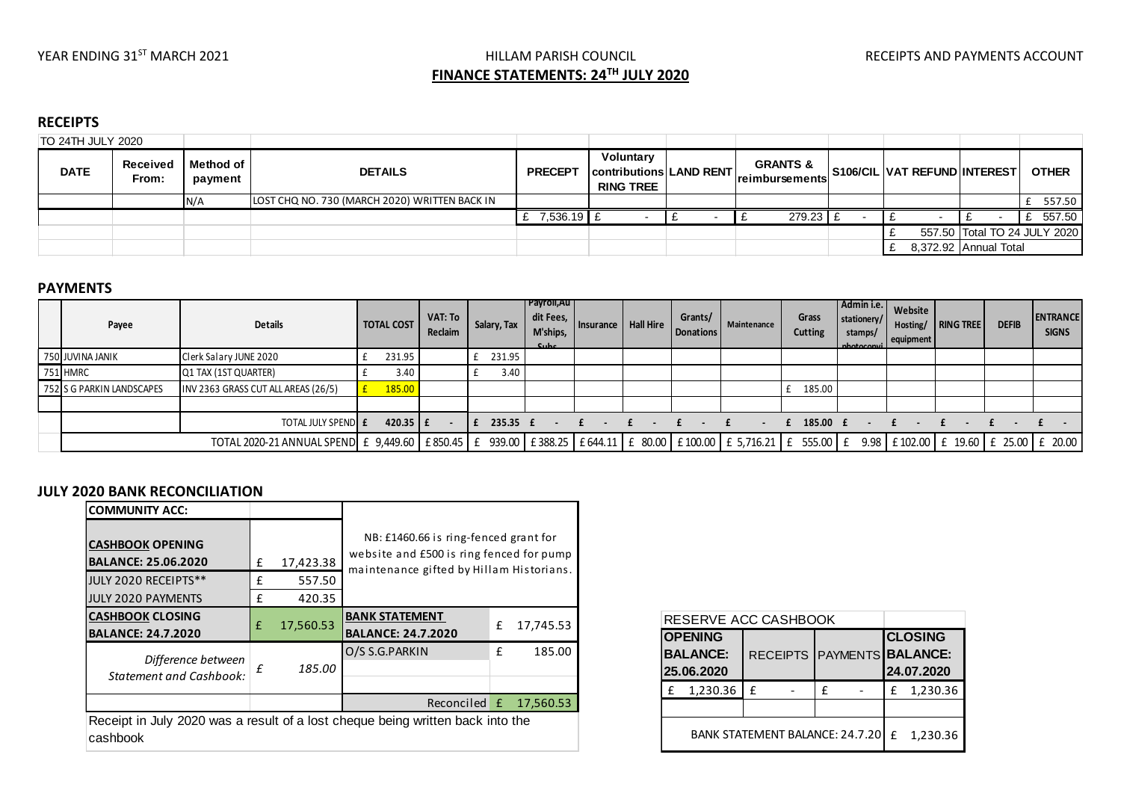# YEAR ENDING 31<sup>ST</sup> MARCH 2021 **Example 2021** HILLAM PARISH COUNCIL **The COUNCIL** RECEIPTS AND PAYMENTS ACCOUNT **FINANCE STATEMENTS: 24TH JULY 2020**

## **RECEIPTS**

| TO 24TH JULY 2020                |  |                             |                                               |                |                                                                 |                                               |                              |                       |                              |
|----------------------------------|--|-----------------------------|-----------------------------------------------|----------------|-----------------------------------------------------------------|-----------------------------------------------|------------------------------|-----------------------|------------------------------|
| Received<br><b>DATE</b><br>From: |  | <b>Method of</b><br>payment | <b>DETAILS</b>                                | <b>PRECEPT</b> | Voluntary<br>  contributions   LAND RENT   <br><b>RING TREE</b> | <b>GRANTS &amp;</b><br><b>Ireimbursements</b> | S106/CIL VAT REFUND INTEREST |                       | <b>OTHER</b>                 |
|                                  |  | N/A                         | LOST CHQ NO. 730 (MARCH 2020) WRITTEN BACK IN |                |                                                                 |                                               |                              |                       | 557.50                       |
|                                  |  |                             |                                               | 7,536.19 £     |                                                                 | 279.23 £                                      |                              |                       | 557.50                       |
|                                  |  |                             |                                               |                |                                                                 |                                               |                              |                       | 557.50 Total TO 24 JULY 2020 |
|                                  |  |                             |                                               |                |                                                                 |                                               |                              | 8,372.92 Annual Total |                              |

#### **PAYMENTS**

| Payee                     | <b>Details</b>                                                                                                                                                  | <b>TOTAL COST</b>   | VAT: To<br>Reclaim | Salary, Tax | Payroll,Au<br>dit Fees,<br>M'ships,<br>$C$ uhe | Insurance | <b>Hall Hire</b>        | Grants/<br><b>Donations</b> | Maintenance | Grass<br><b>Cutting</b> | Admin i.e.  <br>stationery/<br>stamps/<br>nhotoconvil | Website<br>Hosting/<br>equipment | RING TREE | <b>DEFIB</b> | <b>ENTRANCE</b><br><b>SIGNS</b> |
|---------------------------|-----------------------------------------------------------------------------------------------------------------------------------------------------------------|---------------------|--------------------|-------------|------------------------------------------------|-----------|-------------------------|-----------------------------|-------------|-------------------------|-------------------------------------------------------|----------------------------------|-----------|--------------|---------------------------------|
| 750 JUVINA JANIK          | Clerk Salary JUNE 2020                                                                                                                                          | 231.95              |                    | 231.95      |                                                |           |                         |                             |             |                         |                                                       |                                  |           |              |                                 |
| 751 HMRC                  | Q1 TAX (1ST QUARTER)                                                                                                                                            | 3.40                |                    | 3.40        |                                                |           |                         |                             |             |                         |                                                       |                                  |           |              |                                 |
| 752 S G PARKIN LANDSCAPES | INV 2363 GRASS CUT ALL AREAS (26/5)                                                                                                                             | 185.00              |                    |             |                                                |           |                         |                             |             | 185.00                  |                                                       |                                  |           |              |                                 |
|                           |                                                                                                                                                                 |                     |                    |             |                                                |           |                         |                             |             |                         |                                                       |                                  |           |              |                                 |
|                           | TOTAL JULY SPENDE                                                                                                                                               | 420.35 $\mathsf{F}$ |                    | 235.35 f    | $\sim 100$                                     |           | $\ddot{f}$ . $\ddot{f}$ | $\sim$ $\sim$               |             | 185.00 £                |                                                       |                                  |           |              |                                 |
|                           | TOTAL 2020-21 ANNUAL SPEND E 9,449.60 E 850.45 E 939.00 E 388.25 E 644.11 E 80.00 E 100.00 E 5,716.21 E 555.00 E 9.98 E 102.00 E 102.00 E 19.60 E 25.00 E 20.00 |                     |                    |             |                                                |           |                         |                             |             |                         |                                                       |                                  |           |              |                                 |

### **JULY 2020 BANK RECONCILIATION**

| <b>COMMUNITY ACC:</b>                                                                      |   |           |                                                                                   |   |           |  |  |  |
|--------------------------------------------------------------------------------------------|---|-----------|-----------------------------------------------------------------------------------|---|-----------|--|--|--|
| <b>CASHBOOK OPENING</b><br><b>BALANCE: 25.06.2020</b>                                      |   | 17,423.38 | NB: £1460.66 is ring-fenced grant for<br>website and £500 is ring fenced for pump |   |           |  |  |  |
| JULY 2020 RECEIPTS**                                                                       | f | 557.50    | maintenance gifted by Hillam Historians.                                          |   |           |  |  |  |
| <b>JULY 2020 PAYMENTS</b>                                                                  | f | 420.35    |                                                                                   |   |           |  |  |  |
| <b>CASHBOOK CLOSING</b><br><b>BALANCE: 24.7.2020</b>                                       | £ | 17,560.53 | <b>BANK STATEMENT</b><br><b>BALANCE: 24.7.2020</b>                                | £ | 17,745.53 |  |  |  |
| Difference between<br><b>Statement and Cashbook:</b>                                       | f | 185.00    | O/S S.G.PARKIN                                                                    | f | 185.00    |  |  |  |
|                                                                                            |   |           | Reconciled £                                                                      |   | 17,560.53 |  |  |  |
| Receipt in July 2020 was a result of a lost cheque being written back into the<br>cashbook |   |           |                                                                                   |   |           |  |  |  |

| RESERVE ACC CASHBOOK                            |   |          |  |                                                            |          |  |  |
|-------------------------------------------------|---|----------|--|------------------------------------------------------------|----------|--|--|
| <b>OPENING</b><br><b>BALANCE:</b><br>25.06.2020 |   |          |  | <b>CLOSING</b><br>RECEIPTS PAYMENTS BALANCE:<br>24.07.2020 |          |  |  |
| 1,230.36                                        | f | f        |  | f                                                          | 1,230.36 |  |  |
|                                                 |   |          |  |                                                            |          |  |  |
| <b>BANK STATEMENT BALANCE: 24.7.20</b>          | f | 1,230.36 |  |                                                            |          |  |  |